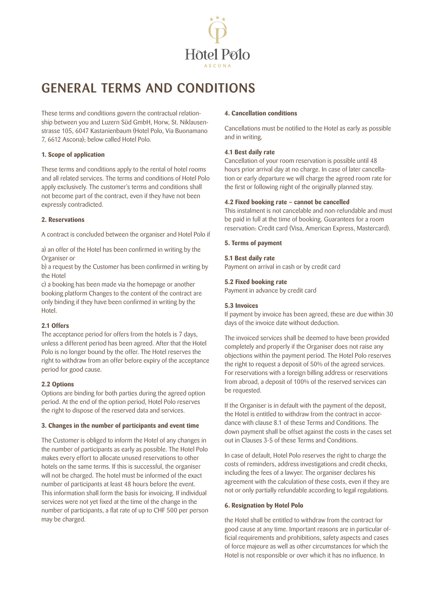

# GENERAL TERMS AND CONDITIONS

These terms and conditions govern the contractual relationship between you and Luzern Süd GmbH, Horw, St. Niklausenstrasse 105, 6047 Kastanienbaum (Hotel Polo, Via Buonamano 7, 6612 Ascona); below called Hotel Polo.

## **1. Scope of application**

These terms and conditions apply to the rental of hotel rooms and all related services. The terms and conditions of Hotel Polo apply exclusively. The customer's terms and conditions shall not become part of the contract, even if they have not been expressly contradicted.

## **2. Reservations**

A contract is concluded between the organiser and Hotel Polo if

a) an offer of the Hotel has been confirmed in writing by the Organiser or

b) a request by the Customer has been confirmed in writing by the Hotel

c) a booking has been made via the homepage or another booking platform Changes to the content of the contract are only binding if they have been confirmed in writing by the Hotel.

# **2.1 Offers**

The acceptance period for offers from the hotels is 7 days, unless a different period has been agreed. After that the Hotel Polo is no longer bound by the offer. The Hotel reserves the right to withdraw from an offer before expiry of the acceptance period for good cause.

# **2.2 Options**

Options are binding for both parties during the agreed option period. At the end of the option period, Hotel Polo reserves the right to dispose of the reserved data and services.

#### **3. Changes in the number of participants and event time**

The Customer is obliged to inform the Hotel of any changes in the number of participants as early as possible. The Hotel Polo makes every effort to allocate unused reservations to other hotels on the same terms. If this is successful, the organiser will not be charged. The hotel must be informed of the exact number of participants at least 48 hours before the event. This information shall form the basis for invoicing. If individual services were not yet fixed at the time of the change in the number of participants, a flat rate of up to CHF 500 per person may be charged.

### **4. Cancellation conditions**

Cancellations must be notified to the Hotel as early as possible and in writing.

## **4.1 Best daily rate**

Cancellation of your room reservation is possible until 48 hours prior arrival day at no charge. In case of later cancellation or early departure we will charge the agreed room rate for the first or following night of the originally planned stay.

### **4.2 Fixed booking rate – cannot be cancelled**

This instalment is not cancelable and non-refundable and must be paid in full at the time of booking. Guarantees for a room reservation: Credit card (Visa, American Express, Mastercard).

### **5. Terms of payment**

### **5.1 Best daily rate**

Payment on arrival in cash or by credit card

# **5.2 Fixed booking rate**

Payment in advance by credit card

### **5.3 Invoices**

If payment by invoice has been agreed, these are due within 30 days of the invoice date without deduction.

The invoiced services shall be deemed to have been provided completely and properly if the Organiser does not raise any objections within the payment period. The Hotel Polo reserves the right to request a deposit of 50% of the agreed services. For reservations with a foreign billing address or reservations from abroad, a deposit of 100% of the reserved services can be requested.

If the Organiser is in default with the payment of the deposit, the Hotel is entitled to withdraw from the contract in accordance with clause 8.1 of these Terms and Conditions. The down payment shall be offset against the costs in the cases set out in Clauses 3-5 of these Terms and Conditions.

In case of default, Hotel Polo reserves the right to charge the costs of reminders, address investigations and credit checks, including the fees of a lawyer. The organiser declares his agreement with the calculation of these costs, even if they are not or only partially refundable according to legal regulations.

#### **6. Resignation by Hotel Polo**

the Hotel shall be entitled to withdraw from the contract for good cause at any time. Important reasons are in particular official requirements and prohibitions, safety aspects and cases of force majeure as well as other circumstances for which the Hotel is not responsible or over which it has no influence. In